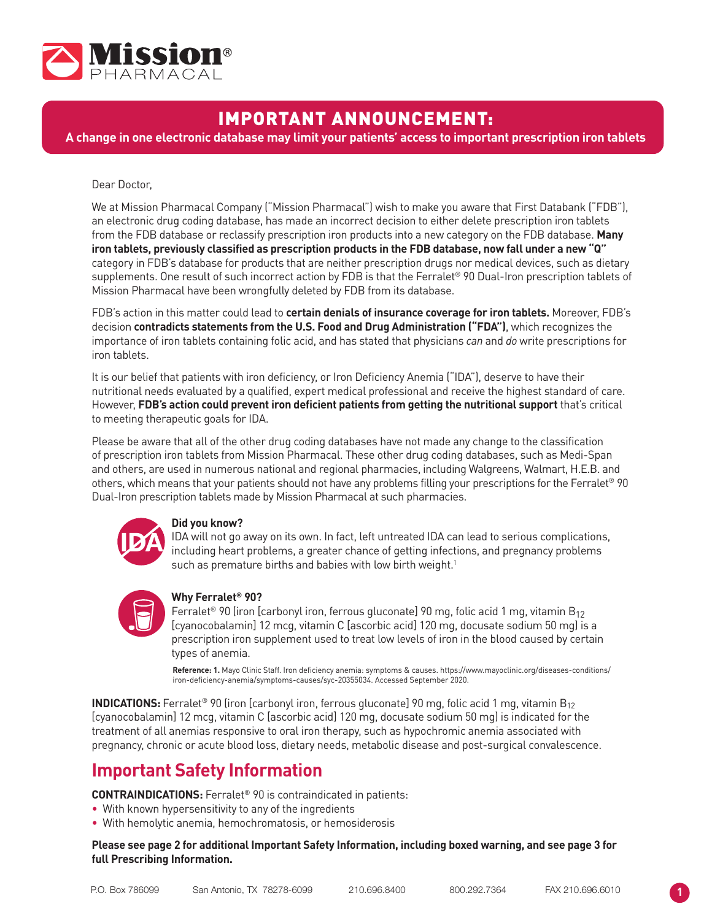

# IMPORTANT ANNOUNCEMENT:

**A change in one electronic database may limit your patients' access to important prescription iron tablets**

## Dear Doctor,

We at Mission Pharmacal Company ("Mission Pharmacal") wish to make you aware that First Databank ("FDB"), an electronic drug coding database, has made an incorrect decision to either delete prescription iron tablets from the FDB database or reclassify prescription iron products into a new category on the FDB database. **Many iron tablets, previously classified as prescription products in the FDB database, now fall under a new "Q"**  category in FDB's database for products that are neither prescription drugs nor medical devices, such as dietary supplements. One result of such incorrect action by FDB is that the Ferralet® 90 Dual-Iron prescription tablets of Mission Pharmacal have been wrongfully deleted by FDB from its database.

FDB's action in this matter could lead to **certain denials of insurance coverage for iron tablets.** Moreover, FDB's decision **contradicts statements from the U.S. Food and Drug Administration ("FDA")**, which recognizes the importance of iron tablets containing folic acid, and has stated that physicians *can* and *do* write prescriptions for iron tablets.

It is our belief that patients with iron deficiency, or Iron Deficiency Anemia ("IDA"), deserve to have their nutritional needs evaluated by a qualified, expert medical professional and receive the highest standard of care. However, **FDB's action could prevent iron deficient patients from getting the nutritional support** that's critical to meeting therapeutic goals for IDA.

Please be aware that all of the other drug coding databases have not made any change to the classification of prescription iron tablets from Mission Pharmacal. These other drug coding databases, such as Medi-Span and others, are used in numerous national and regional pharmacies, including Walgreens, Walmart, H.E.B. and others, which means that your patients should not have any problems filling your prescriptions for the Ferralet<sup>®</sup> 90 Dual-Iron prescription tablets made by Mission Pharmacal at such pharmacies.



## **Did you know?**

IDA will not go away on its own. In fact, left untreated IDA can lead to serious complications, including heart problems, a greater chance of getting infections, and pregnancy problems such as premature births and babies with low birth weight.<sup>1</sup>



## **Why Ferralet® 90?**

Ferralet<sup>®</sup> 90 (iron [carbonyl iron, ferrous gluconate] 90 mg, folic acid 1 mg, vitamin B<sub>12</sub> [cyanocobalamin] 12 mcg, vitamin C [ascorbic acid] 120 mg, docusate sodium 50 mg) is a prescription iron supplement used to treat low levels of iron in the blood caused by certain types of anemia.

**Reference: 1.** Mayo Clinic Staff. Iron deficiency anemia: symptoms & causes. https://www.mayoclinic.org/diseases-conditions/ iron-deficiency-anemia/symptoms-causes/syc-20355034. Accessed September 2020.

**INDICATIONS:** Ferralet<sup>®</sup> 90 (iron [carbonyl iron, ferrous gluconate] 90 mg, folic acid 1 mg, vitamin B<sub>12</sub> [cyanocobalamin] 12 mcg, vitamin C [ascorbic acid] 120 mg, docusate sodium 50 mg) is indicated for the treatment of all anemias responsive to oral iron therapy, such as hypochromic anemia associated with pregnancy, chronic or acute blood loss, dietary needs, metabolic disease and post-surgical convalescence.

# **Important Safety Information**

**CONTRAINDICATIONS:** Ferralet® 90 is contraindicated in patients:

- With known hypersensitivity to any of the ingredients
- With hemolytic anemia, hemochromatosis, or hemosiderosis

**Please see page 2 for additional Important Safety Information, including boxed warning, and see page 3 for full Prescribing Information.**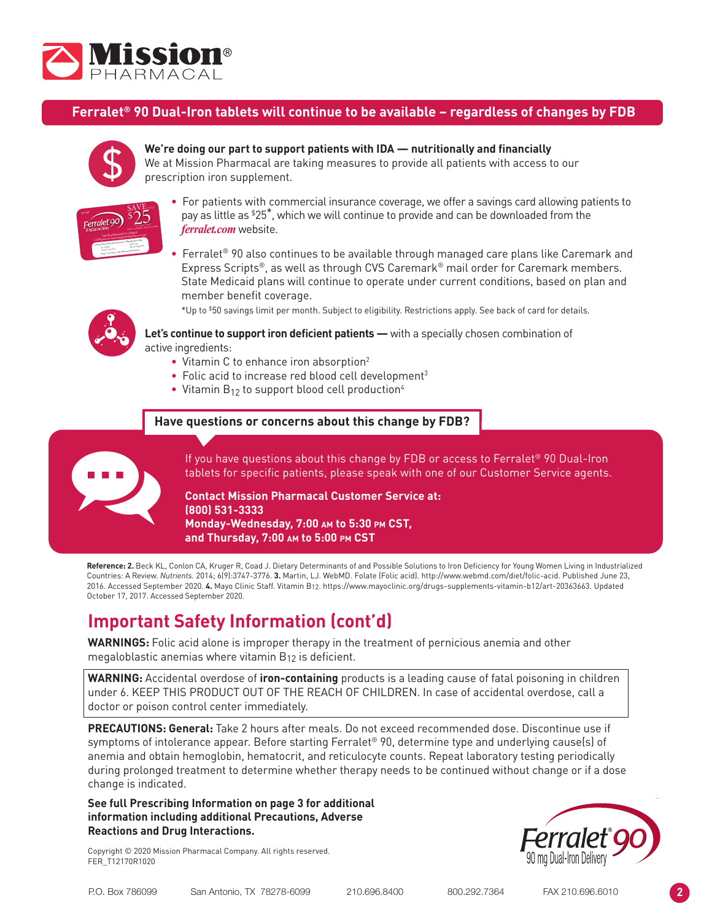

**OVERDOSAGE:** Symptoms: abdominal pain, metabolic acidosis, anuria, CNS damage, coma, convulsions,

#### Ferralet<sup>®</sup> 90 Dual-Iron tablets will continue to be available - regardless of changes by FDB oxygen transport for energy production and production and production and production and production and properties  $\mathcal{L}_\mathcal{F}$ **ADVERSE REACTIONS:** Adverse reactions with let® 90 [



is critical for normal hemoglobin synthesis to maintain

acid may account for the defective deoxyribonucleic acid (DNA) synthesis that leads to megaloblast formation

## **Solution** We're doing our part to support patients with IDA — nutritionally and financially

We at Mission Pharmacal are taking measures to provide all patients with access to our **To rescription iron supplement.** 



- For patients with commercial insurance coverage, we offer a savings card allowing patients to pay as little as \$ 25\*, which we will continue to provide and can be downloaded from the *ferralet.com* website.
- Ferralet® 90 also continues to be available through managed care plans like Caremark and Express Scripts®, as well as through CVS Caremark® mail order for Caremark members. State Medicaid plans will continue to operate under current conditions, based on plan and member benefit coverage.

\*Up to \$50 savings limit per month. Subject to eligibility. Restrictions apply. See back of card for details.



**Let's continue to support iron deficient patients —** with a specially chosen combination of active ingredients:

- Vitamin C to enhance iron absorption<sup>2</sup>
- Folic acid to increase red blood cell development<sup>3</sup>
- Vitamin  $B_{12}$  to support blood cell production<sup>4</sup>

## **Have questions or concerns about this change by FDB?**



If you have questions about this change by FDB or access to Ferralet® 90 Dual-Iron tablets for specific patients, please speak with one of our Customer Service agents.

## **Contact Mission Pharmacal Customer Service at: (800) 531-3333 Monday-Wednesday, 7:00 am to 5:30 pm CST, and Thursday, 7:00 am to 5:00 pm CST**

**Reference: 2.** Beck KL, Conlon CA, Kruger R, Coad J. Dietary Determinants of and Possible Solutions to Iron Deficiency for Young Women Living in Industrialized Countries: A Review. *Nutrients.* 2014; 6(9):3747-3776. **3.** Martin, LJ. WebMD. Folate (Folic acid). http://www.webmd.com/diet/folic-acid. Published June 23, 2016. Accessed September 2020. **4.** Mayo Clinic Staff. Vitamin B12. https://www.mayoclinic.org/drugs-supplements-vitamin-b12/art-20363663. Updated October 17, 2017. Accessed September 2020.

# **Important Safety Information (cont'd)**

**WARNINGS:** Folic acid alone is improper therapy in the treatment of pernicious anemia and other megaloblastic anemias where vitamin B12 is deficient.

**WARNING:** Accidental overdose of **iron-containing** products is a leading cause of fatal poisoning in children under 6. KEEP THIS PRODUCT OUT OF THE REACH OF CHILDREN. In case of accidental overdose, call a doctor or poison control center immediately.

**PRECAUTIONS: General:** Take 2 hours after meals. Do not exceed recommended dose. Discontinue use if symptoms of intolerance appear. Before starting Ferralet® 90, determine type and underlying cause(s) of anemia and obtain hemoglobin, hematocrit, and reticulocyte counts. Repeat laboratory testing periodically during prolonged treatment to determine whether therapy needs to be continued without change or if a dose change is indicated.

**See full Prescribing Information on page 3 for additional information including additional Precautions, Adverse Reactions and Drug Interactions.**

Copyright © 2020 Mission Pharmacal Company. All rights reserved. FER\_T12170R1020